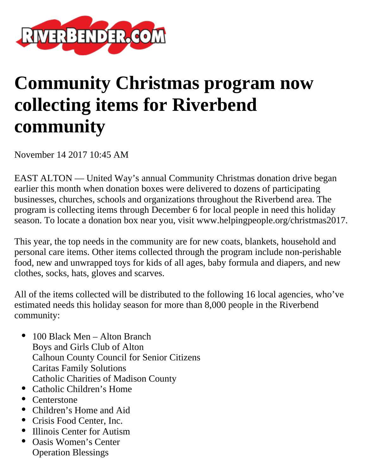

## **Community Christmas program now collecting items for Riverbend community**

November 14 2017 10:45 AM

EAST ALTON — United Way's annual Community Christmas donation drive began earlier this month when donation boxes were delivered to dozens of participating businesses, churches, schools and organizations throughout the Riverbend area. The program is collecting items through December 6 for local people in need this holiday season. To locate a donation box near you, visit www.helpingpeople.org/christmas2017.

This year, the top needs in the community are for new coats, blankets, household and personal care items. Other items collected through the program include non-perishable food, new and unwrapped toys for kids of all ages, baby formula and diapers, and new clothes, socks, hats, gloves and scarves.

All of the items collected will be distributed to the following 16 local agencies, who've estimated needs this holiday season for more than 8,000 people in the Riverbend community:

- 100 Black Men Alton Branch Boys and Girls Club of Alton Calhoun County Council for Senior Citizens Caritas Family Solutions Catholic Charities of Madison County
- Catholic Children's Home
- Centerstone
- Children's Home and Aid
- Crisis Food Center, Inc.
- Illinois Center for Autism
- Oasis Women's Center Operation Blessings